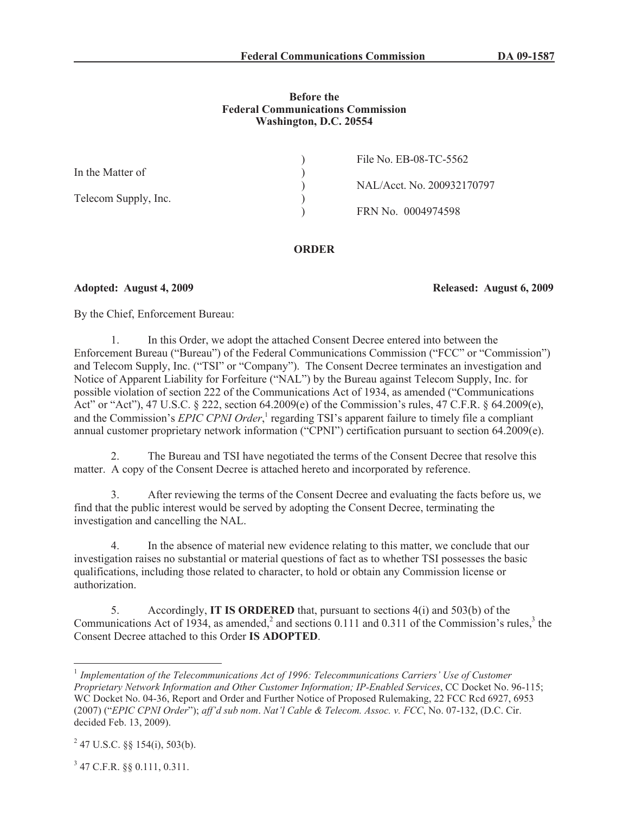### **Before the Federal Communications Commission Washington, D.C. 20554**

|                      | File No. EB-08-TC-5562     |
|----------------------|----------------------------|
| In the Matter of     |                            |
|                      | NAL/Acct. No. 200932170797 |
| Telecom Supply, Inc. |                            |
|                      | FRN No. 0004974598         |
|                      |                            |

## **ORDER**

## **Adopted: August 4, 2009 Released: August 6, 2009**

By the Chief, Enforcement Bureau:

1. In this Order, we adopt the attached Consent Decree entered into between the Enforcement Bureau ("Bureau") of the Federal Communications Commission ("FCC" or "Commission") and Telecom Supply, Inc. ("TSI" or "Company"). The Consent Decree terminates an investigation and Notice of Apparent Liability for Forfeiture ("NAL") by the Bureau against Telecom Supply, Inc. for possible violation of section 222 of the Communications Act of 1934, as amended ("Communications Act" or "Act"), 47 U.S.C. § 222, section 64.2009(e) of the Commission's rules, 47 C.F.R. § 64.2009(e), and the Commission's *EPIC CPNI Order*, 1 regarding TSI's apparent failure to timely file a compliant annual customer proprietary network information ("CPNI") certification pursuant to section 64.2009(e).

2. The Bureau and TSI have negotiated the terms of the Consent Decree that resolve this matter. A copy of the Consent Decree is attached hereto and incorporated by reference.

3. After reviewing the terms of the Consent Decree and evaluating the facts before us, we find that the public interest would be served by adopting the Consent Decree, terminating the investigation and cancelling the NAL.

4. In the absence of material new evidence relating to this matter, we conclude that our investigation raises no substantial or material questions of fact as to whether TSI possesses the basic qualifications, including those related to character, to hold or obtain any Commission license or authorization.

5. Accordingly, **IT IS ORDERED** that, pursuant to sections 4(i) and 503(b) of the Communications Act of 1934, as amended,<sup>2</sup> and sections 0.111 and 0.311 of the Commission's rules,<sup>3</sup> the Consent Decree attached to this Order **IS ADOPTED**.

3 47 C.F.R. §§ 0.111, 0.311.

<sup>&</sup>lt;sup>1</sup> Implementation of the Telecommunications Act of 1996: Telecommunications Carriers' Use of Customer *Proprietary Network Information and Other Customer Information; IP-Enabled Services*, CC Docket No. 96-115; WC Docket No. 04-36, Report and Order and Further Notice of Proposed Rulemaking, 22 FCC Rcd 6927, 6953 (2007) ("*EPIC CPNI Order*"); *aff'd sub nom*. *Nat'l Cable & Telecom. Assoc. v. FCC*, No. 07-132, (D.C. Cir. decided Feb. 13, 2009).

 $^{2}$  47 U.S.C. §§ 154(i), 503(b).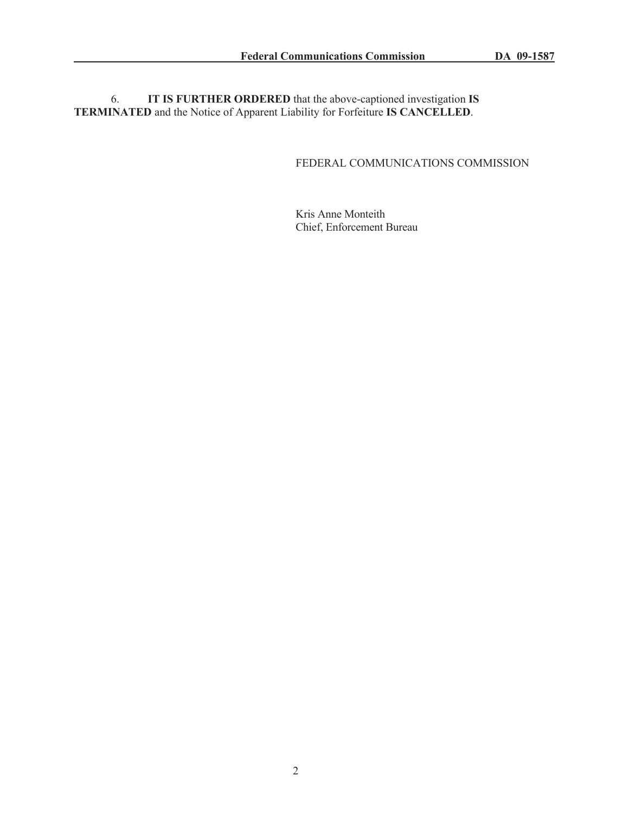6. **IT IS FURTHER ORDERED** that the above-captioned investigation **IS TERMINATED** and the Notice of Apparent Liability for Forfeiture **IS CANCELLED**.

# FEDERAL COMMUNICATIONS COMMISSION

Kris Anne Monteith Chief, Enforcement Bureau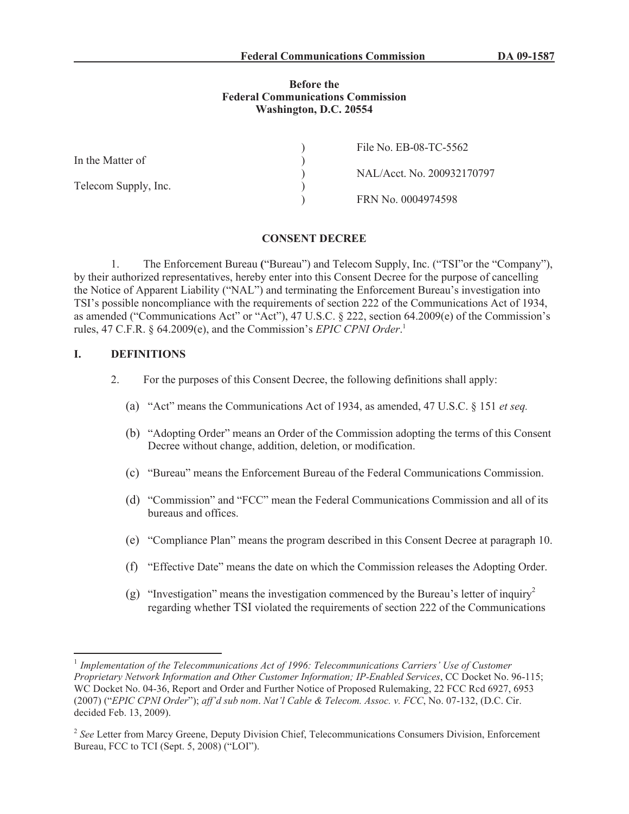### **Before the Federal Communications Commission Washington, D.C. 20554**

|                      | File No. EB-08-TC-5562     |
|----------------------|----------------------------|
| In the Matter of     |                            |
|                      | NAL/Acct. No. 200932170797 |
| Telecom Supply, Inc. |                            |
|                      | FRN No. 0004974598         |

#### **CONSENT DECREE**

1. The Enforcement Bureau **(**"Bureau") and Telecom Supply, Inc. ("TSI"or the "Company"), by their authorized representatives, hereby enter into this Consent Decree for the purpose of cancelling the Notice of Apparent Liability ("NAL") and terminating the Enforcement Bureau's investigation into TSI's possible noncompliance with the requirements of section 222 of the Communications Act of 1934, as amended ("Communications Act" or "Act"), 47 U.S.C. § 222, section 64.2009(e) of the Commission's rules, 47 C.F.R. § 64.2009(e), and the Commission's *EPIC CPNI Order*. 1

### **I. DEFINITIONS**

- 2. For the purposes of this Consent Decree, the following definitions shall apply:
	- (a) "Act" means the Communications Act of 1934, as amended, 47 U.S.C. § 151 *et seq.*
	- (b) "Adopting Order" means an Order of the Commission adopting the terms of this Consent Decree without change, addition, deletion, or modification.
	- (c) "Bureau" means the Enforcement Bureau of the Federal Communications Commission.
	- (d) "Commission" and "FCC" mean the Federal Communications Commission and all of its bureaus and offices.
	- (e) "Compliance Plan" means the program described in this Consent Decree at paragraph 10.
	- (f) "Effective Date" means the date on which the Commission releases the Adopting Order.
	- (g) "Investigation" means the investigation commenced by the Bureau's letter of inquiry<sup>2</sup> regarding whether TSI violated the requirements of section 222 of the Communications

<sup>&</sup>lt;sup>1</sup> Implementation of the Telecommunications Act of 1996: Telecommunications Carriers' Use of Customer *Proprietary Network Information and Other Customer Information; IP-Enabled Services*, CC Docket No. 96-115; WC Docket No. 04-36, Report and Order and Further Notice of Proposed Rulemaking, 22 FCC Rcd 6927, 6953 (2007) ("*EPIC CPNI Order*"); *aff'd sub nom*. *Nat'l Cable & Telecom. Assoc. v. FCC*, No. 07-132, (D.C. Cir. decided Feb. 13, 2009).

<sup>&</sup>lt;sup>2</sup> See Letter from Marcy Greene, Deputy Division Chief, Telecommunications Consumers Division, Enforcement Bureau, FCC to TCI (Sept. 5, 2008) ("LOI").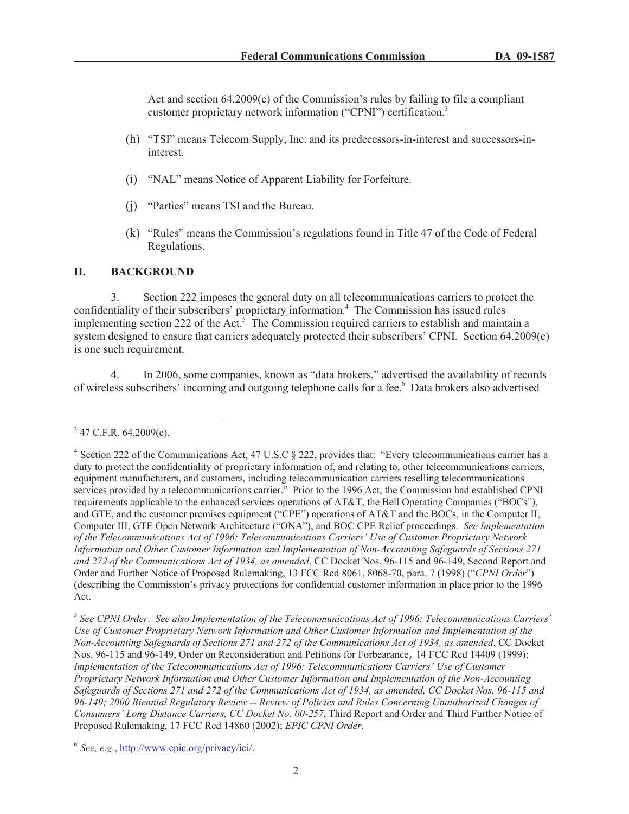Act and section 64.2009(e) of the Commission's rules by failing to file a compliant customer proprietary network information ("CPNI") certification.<sup>3</sup>

- (h) "TSI" means Telecom Supply, Inc. and its predecessors-in-interest and successors-ininterest.
- (i) "NAL" means Notice of Apparent Liability for Forfeiture.
- (j) "Parties" means TSI and the Bureau.
- (k) "Rules" means the Commission's regulations found in Title 47 of the Code of Federal Regulations.

### **II. BACKGROUND**

3. Section 222 imposes the general duty on all telecommunications carriers to protect the confidentiality of their subscribers' proprietary information.<sup>4</sup> The Commission has issued rules implementing section 222 of the Act.<sup>5</sup> The Commission required carriers to establish and maintain a system designed to ensure that carriers adequately protected their subscribers' CPNI. Section 64.2009(e) is one such requirement.

4. In 2006, some companies, known as "data brokers," advertised the availability of records of wireless subscribers' incoming and outgoing telephone calls for a fee.<sup>6</sup> Data brokers also advertised

 $3$  47 C.F.R. 64.2009(e).

<sup>&</sup>lt;sup>4</sup> Section 222 of the Communications Act, 47 U.S.C § 222, provides that: "Every telecommunications carrier has a duty to protect the confidentiality of proprietary information of, and relating to, other telecommunications carriers, equipment manufacturers, and customers, including telecommunication carriers reselling telecommunications services provided by a telecommunications carrier." Prior to the 1996 Act, the Commission had established CPNI requirements applicable to the enhanced services operations of AT&T, the Bell Operating Companies ("BOCs"), and GTE, and the customer premises equipment ("CPE") operations of AT&T and the BOCs, in the Computer II, Computer III, GTE Open Network Architecture ("ONA"), and BOC CPE Relief proceedings. *See Implementation of the Telecommunications Act of 1996: Telecommunications Carriers' Use of Customer Proprietary Network Information and Other Customer Information and Implementation of Non-Accounting Safeguards of Sections 271 and 272 of the Communications Act of 1934, as amended*, CC Docket Nos. 96-115 and 96-149, Second Report and Order and Further Notice of Proposed Rulemaking, 13 FCC Rcd 8061, 8068-70, para. 7 (1998) ("*CPNI Order*") (describing the Commission's privacy protections for confidential customer information in place prior to the 1996 Act.

<sup>5</sup> *See CPNI Order*. *See also Implementation of the Telecommunications Act of 1996: Telecommunications Carriers' Use of Customer Proprietary Network Information and Other Customer Information and Implementation of the Non-Accounting Safeguards of Sections 271 and 272 of the Communications Act of 1934, as amended*, CC Docket Nos. 96-115 and 96-149, Order on Reconsideration and Petitions for Forbearance, 14 FCC Rcd 14409 (1999); *Implementation of the Telecommunications Act of 1996: Telecommunications Carriers' Use of Customer Proprietary Network Information and Other Customer Information and Implementation of the Non-Accounting Safeguards of Sections 271 and 272 of the Communications Act of 1934, as amended, CC Docket Nos. 96-115 and 96-149; 2000 Biennial Regulatory Review -- Review of Policies and Rules Concerning Unauthorized Changes of Consumers' Long Distance Carriers, CC Docket No. 00-257*, Third Report and Order and Third Further Notice of Proposed Rulemaking, 17 FCC Rcd 14860 (2002); *EPIC CPNI Order*.

<sup>6</sup> *See, e.g.*, http://www.epic.org/privacy/iei/.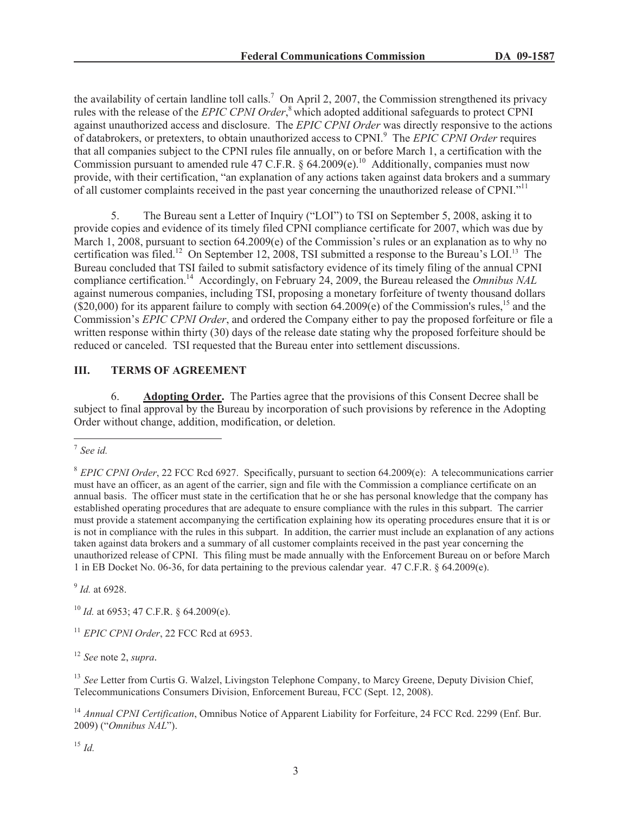the availability of certain landline toll calls.<sup>7</sup> On April 2, 2007, the Commission strengthened its privacy rules with the release of the *EPIC CPNI Order*, <sup>8</sup> which adopted additional safeguards to protect CPNI against unauthorized access and disclosure. The *EPIC CPNI Order* was directly responsive to the actions of databrokers, or pretexters, to obtain unauthorized access to CPNI.<sup>9</sup> The *EPIC CPNI Order* requires that all companies subject to the CPNI rules file annually, on or before March 1, a certification with the Commission pursuant to amended rule 47 C.F.R. § 64.2009(e).<sup>10</sup> Additionally, companies must now provide, with their certification, "an explanation of any actions taken against data brokers and a summary of all customer complaints received in the past year concerning the unauthorized release of CPNI."<sup>11</sup>

5. The Bureau sent a Letter of Inquiry ("LOI") to TSI on September 5, 2008, asking it to provide copies and evidence of its timely filed CPNI compliance certificate for 2007, which was due by March 1, 2008, pursuant to section 64.2009(e) of the Commission's rules or an explanation as to why no certification was filed.<sup>12</sup> On September 12, 2008, TSI submitted a response to the Bureau's LOI.<sup>13</sup> The Bureau concluded that TSI failed to submit satisfactory evidence of its timely filing of the annual CPNI compliance certification.<sup>14</sup> Accordingly, on February 24, 2009, the Bureau released the *Omnibus NAL* against numerous companies, including TSI, proposing a monetary forfeiture of twenty thousand dollars  $(S20,000)$  for its apparent failure to comply with section 64.2009(e) of the Commission's rules,<sup>15</sup> and the Commission's *EPIC CPNI Order*, and ordered the Company either to pay the proposed forfeiture or file a written response within thirty (30) days of the release date stating why the proposed forfeiture should be reduced or canceled. TSI requested that the Bureau enter into settlement discussions.

## **III. TERMS OF AGREEMENT**

6. **Adopting Order.** The Parties agree that the provisions of this Consent Decree shall be subject to final approval by the Bureau by incorporation of such provisions by reference in the Adopting Order without change, addition, modification, or deletion.

9 *Id.* at 6928.

<sup>10</sup> *Id.* at 6953; 47 C.F.R. § 64.2009(e).

<sup>11</sup> *EPIC CPNI Order*, 22 FCC Rcd at 6953.

<sup>12</sup> *See* note 2, *supra.*

<sup>13</sup> See Letter from Curtis G. Walzel, Livingston Telephone Company, to Marcy Greene, Deputy Division Chief, Telecommunications Consumers Division, Enforcement Bureau, FCC (Sept. 12, 2008).

<sup>14</sup> Annual CPNI Certification, Omnibus Notice of Apparent Liability for Forfeiture, 24 FCC Rcd. 2299 (Enf. Bur. 2009) ("*Omnibus NAL*").

<sup>15</sup> *Id.*

<sup>7</sup> *See id.*

<sup>8</sup> *EPIC CPNI Order*, 22 FCC Rcd 6927. Specifically, pursuant to section 64.2009(e): A telecommunications carrier must have an officer, as an agent of the carrier, sign and file with the Commission a compliance certificate on an annual basis. The officer must state in the certification that he or she has personal knowledge that the company has established operating procedures that are adequate to ensure compliance with the rules in this subpart. The carrier must provide a statement accompanying the certification explaining how its operating procedures ensure that it is or is not in compliance with the rules in this subpart. In addition, the carrier must include an explanation of any actions taken against data brokers and a summary of all customer complaints received in the past year concerning the unauthorized release of CPNI. This filing must be made annually with the Enforcement Bureau on or before March 1 in EB Docket No. 06-36, for data pertaining to the previous calendar year. 47 C.F.R. § 64.2009(e).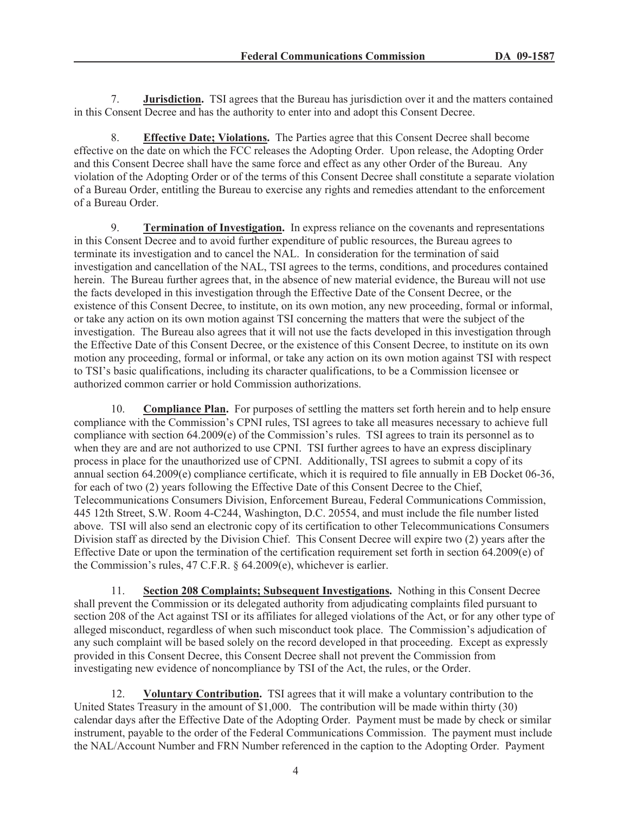7. **Jurisdiction.** TSI agrees that the Bureau has jurisdiction over it and the matters contained in this Consent Decree and has the authority to enter into and adopt this Consent Decree.

8. **Effective Date; Violations.** The Parties agree that this Consent Decree shall become effective on the date on which the FCC releases the Adopting Order. Upon release, the Adopting Order and this Consent Decree shall have the same force and effect as any other Order of the Bureau. Any violation of the Adopting Order or of the terms of this Consent Decree shall constitute a separate violation of a Bureau Order, entitling the Bureau to exercise any rights and remedies attendant to the enforcement of a Bureau Order.

9. **Termination of Investigation.** In express reliance on the covenants and representations in this Consent Decree and to avoid further expenditure of public resources, the Bureau agrees to terminate its investigation and to cancel the NAL. In consideration for the termination of said investigation and cancellation of the NAL, TSI agrees to the terms, conditions, and procedures contained herein. The Bureau further agrees that, in the absence of new material evidence, the Bureau will not use the facts developed in this investigation through the Effective Date of the Consent Decree, or the existence of this Consent Decree, to institute, on its own motion, any new proceeding, formal or informal, or take any action on its own motion against TSI concerning the matters that were the subject of the investigation. The Bureau also agrees that it will not use the facts developed in this investigation through the Effective Date of this Consent Decree, or the existence of this Consent Decree, to institute on its own motion any proceeding, formal or informal, or take any action on its own motion against TSI with respect to TSI's basic qualifications, including its character qualifications, to be a Commission licensee or authorized common carrier or hold Commission authorizations.

10. **Compliance Plan.** For purposes of settling the matters set forth herein and to help ensure compliance with the Commission's CPNI rules, TSI agrees to take all measures necessary to achieve full compliance with section 64.2009(e) of the Commission's rules. TSI agrees to train its personnel as to when they are and are not authorized to use CPNI. TSI further agrees to have an express disciplinary process in place for the unauthorized use of CPNI. Additionally, TSI agrees to submit a copy of its annual section 64.2009(e) compliance certificate, which it is required to file annually in EB Docket 06-36, for each of two (2) years following the Effective Date of this Consent Decree to the Chief, Telecommunications Consumers Division, Enforcement Bureau, Federal Communications Commission, 445 12th Street, S.W. Room 4-C244, Washington, D.C. 20554, and must include the file number listed above. TSI will also send an electronic copy of its certification to other Telecommunications Consumers Division staff as directed by the Division Chief. This Consent Decree will expire two (2) years after the Effective Date or upon the termination of the certification requirement set forth in section 64.2009(e) of the Commission's rules, 47 C.F.R. § 64.2009(e), whichever is earlier.

11. **Section 208 Complaints; Subsequent Investigations.** Nothing in this Consent Decree shall prevent the Commission or its delegated authority from adjudicating complaints filed pursuant to section 208 of the Act against TSI or its affiliates for alleged violations of the Act, or for any other type of alleged misconduct, regardless of when such misconduct took place. The Commission's adjudication of any such complaint will be based solely on the record developed in that proceeding. Except as expressly provided in this Consent Decree, this Consent Decree shall not prevent the Commission from investigating new evidence of noncompliance by TSI of the Act, the rules, or the Order.

12. **Voluntary Contribution.** TSI agrees that it will make a voluntary contribution to the United States Treasury in the amount of \$1,000. The contribution will be made within thirty (30) calendar days after the Effective Date of the Adopting Order. Payment must be made by check or similar instrument, payable to the order of the Federal Communications Commission. The payment must include the NAL/Account Number and FRN Number referenced in the caption to the Adopting Order. Payment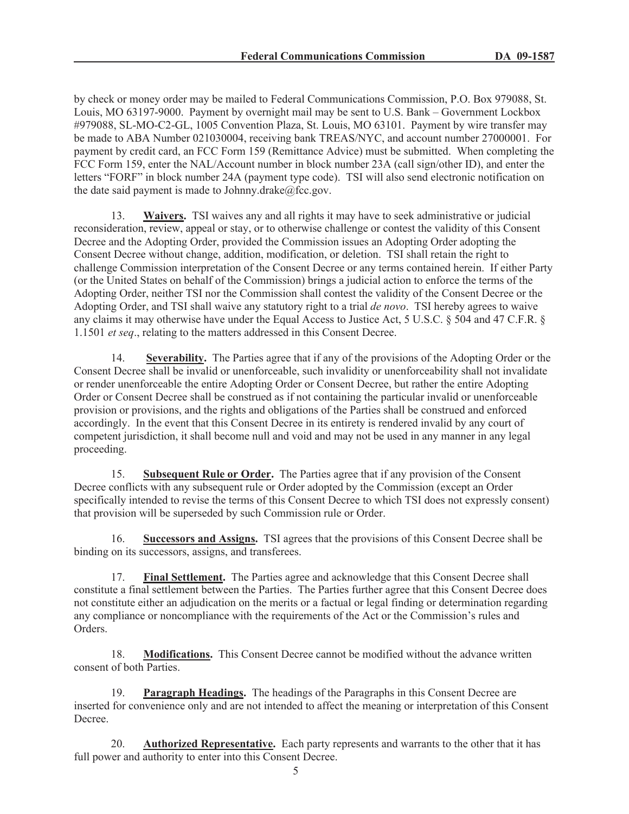by check or money order may be mailed to Federal Communications Commission, P.O. Box 979088, St. Louis, MO 63197-9000. Payment by overnight mail may be sent to U.S. Bank – Government Lockbox #979088, SL-MO-C2-GL, 1005 Convention Plaza, St. Louis, MO 63101. Payment by wire transfer may be made to ABA Number 021030004, receiving bank TREAS/NYC, and account number 27000001. For payment by credit card, an FCC Form 159 (Remittance Advice) must be submitted. When completing the FCC Form 159, enter the NAL/Account number in block number 23A (call sign/other ID), and enter the letters "FORF" in block number 24A (payment type code). TSI will also send electronic notification on the date said payment is made to Johnny.drake $@$ fcc.gov.

13. **Waivers.** TSI waives any and all rights it may have to seek administrative or judicial reconsideration, review, appeal or stay, or to otherwise challenge or contest the validity of this Consent Decree and the Adopting Order, provided the Commission issues an Adopting Order adopting the Consent Decree without change, addition, modification, or deletion. TSI shall retain the right to challenge Commission interpretation of the Consent Decree or any terms contained herein. If either Party (or the United States on behalf of the Commission) brings a judicial action to enforce the terms of the Adopting Order, neither TSI nor the Commission shall contest the validity of the Consent Decree or the Adopting Order, and TSI shall waive any statutory right to a trial *de novo*. TSI hereby agrees to waive any claims it may otherwise have under the Equal Access to Justice Act, 5 U.S.C. § 504 and 47 C.F.R. § 1.1501 *et seq*., relating to the matters addressed in this Consent Decree.

14. **Severability.** The Parties agree that if any of the provisions of the Adopting Order or the Consent Decree shall be invalid or unenforceable, such invalidity or unenforceability shall not invalidate or render unenforceable the entire Adopting Order or Consent Decree, but rather the entire Adopting Order or Consent Decree shall be construed as if not containing the particular invalid or unenforceable provision or provisions, and the rights and obligations of the Parties shall be construed and enforced accordingly. In the event that this Consent Decree in its entirety is rendered invalid by any court of competent jurisdiction, it shall become null and void and may not be used in any manner in any legal proceeding.

15. **Subsequent Rule or Order.** The Parties agree that if any provision of the Consent Decree conflicts with any subsequent rule or Order adopted by the Commission (except an Order specifically intended to revise the terms of this Consent Decree to which TSI does not expressly consent) that provision will be superseded by such Commission rule or Order.

16. **Successors and Assigns.** TSI agrees that the provisions of this Consent Decree shall be binding on its successors, assigns, and transferees.

17. **Final Settlement.** The Parties agree and acknowledge that this Consent Decree shall constitute a final settlement between the Parties. The Parties further agree that this Consent Decree does not constitute either an adjudication on the merits or a factual or legal finding or determination regarding any compliance or noncompliance with the requirements of the Act or the Commission's rules and Orders.

18. **Modifications.** This Consent Decree cannot be modified without the advance written consent of both Parties.

19. **Paragraph Headings.** The headings of the Paragraphs in this Consent Decree are inserted for convenience only and are not intended to affect the meaning or interpretation of this Consent Decree.

20. **Authorized Representative.** Each party represents and warrants to the other that it has full power and authority to enter into this Consent Decree.